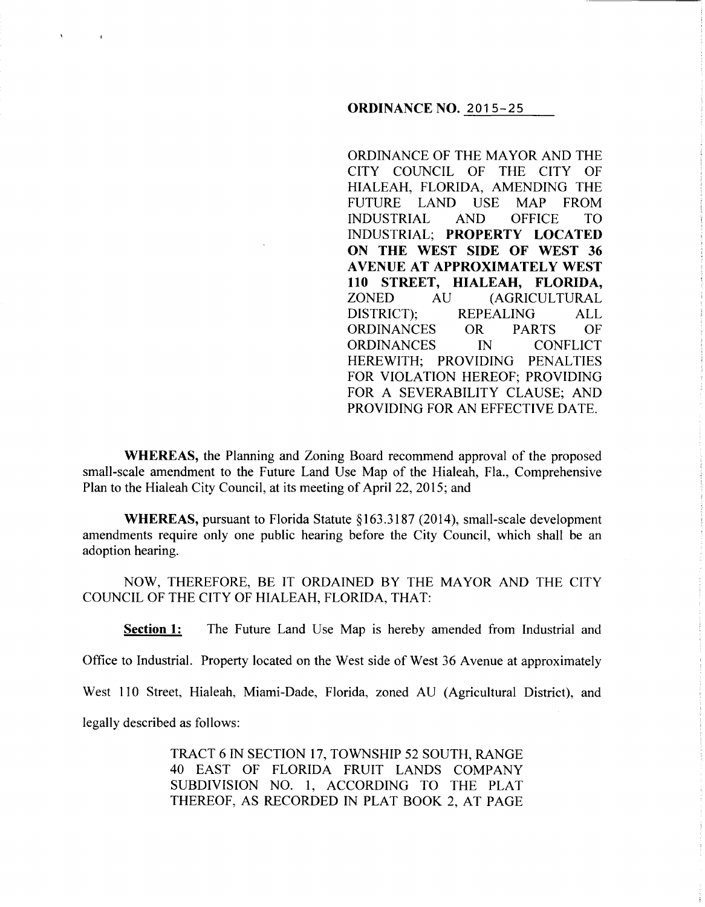## **ORDINANCE NO.** 2015-25

ORDINANCE OF THE MAYOR AND THE CITY COUNCIL OF THE CITY OF HIALEAH, FLORIDA, AMENDING THE FUTURE LAND USE MAP FROM INDUSTRIAL AND OFFICE TO INDUSTRIAL; **PROPERTY LOCATED ON THE WEST SIDE OF WEST 36 A VENUE AT APPROXIMATELY WEST llO STREET, HIALEAH, FLORIDA,**  ZONED AU (AGRICULTURAL DISTRICT); REPEALING ALL ORDINANCES OR PARTS OF ORDINANCES IN CONFLICT HEREWITH; PROVIDING PENALTIES FOR VIOLATION HEREOF; PROVIDING FOR A SEVERABILITY CLAUSE; AND PROVIDING FOR AN EFFECTIVE DATE.

**WHEREAS,** the Planning and Zoning Board recommend approval of the proposed small-scale amendment to the Future Land Use Map of the Hialeah, Fla., Comprehensive Plan to the Hialeah City Council, at its meeting of April22, 2015; and

**WHEREAS,** pursuant to Florida Statute *§* 163.3187 (2014), small-scale development amendments require only one public hearing before the City Council, which shall be an adoption hearing.

NOW, THEREFORE, BE IT ORDAINED BY THE MAYOR AND THE CITY COUNCIL OF THE CITY OF HIALEAH, FLORIDA, THAT:

**Section 1:** The Future Land Use Map is hereby amended from Industrial and

Office to Industrial. Property located on the West side of West 36 Avenue at approximately

West 110 Street, Hialeah, Miami-Dade, Florida, zoned AU (Agricultural District), and

legally described as follows:

 $\Lambda$ 

 $\bar{1}$ 

TRACT 6 IN SECTION 17, TOWNSHIP 52 SOUTH, RANGE 40 EAST OF FLORIDA FRUIT LANDS COMPANY SUBDIVISION NO. 1, ACCORDING TO THE PLAT THEREOF, AS RECORDED IN PLAT BOOK 2, AT PAGE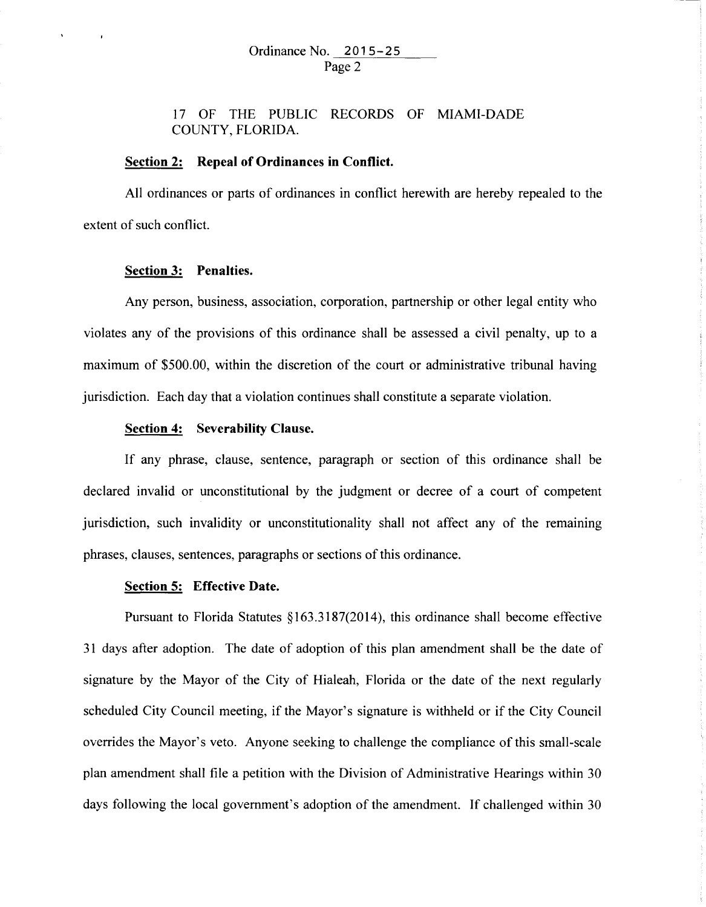17 OF THE PUBLIC RECORDS OF MIAMI-DADE COUNTY, FLORIDA.

## **Section 2: Repeal of Ordinances in Conflict.**

All ordinances or parts of ordinances in conflict herewith are hereby repealed to the extent of such conflict.

#### **Section 3: Penalties.**

Any person, business, association, corporation, partnership or other legal entity who violates any of the provisions of this ordinance shall be assessed a civil penalty, up to a maximum of \$500.00, within the discretion of the court or administrative tribunal having jurisdiction. Each day that a violation continues shall constitute a separate violation.

## **Section 4: Severability Clause.**

If any phrase, clause, sentence, paragraph or section of this ordinance shall be declared invalid or unconstitutional by the judgment or decree of a court of competent jurisdiction, such invalidity or unconstitutionality shall not affect any of the remaining phrases, clauses, sentences, paragraphs or sections of this ordinance.

#### **Section 5: Effective Date.**

Pursuant to Florida Statutes §163.3187(2014), this ordinance shall become effective 31 days after adoption. The date of adoption of this plan amendment shall be the date of signature by the Mayor of the City of Hialeah, Florida or the date of the next regularly scheduled City Council meeting, if the Mayor's signature is withheld or if the City Council overrides the Mayor's veto. Anyone seeking to challenge the compliance of this small-scale plan amendment shall file a petition with the Division of Administrative Hearings within 30 days following the local government's adoption of the amendment. If challenged within 30